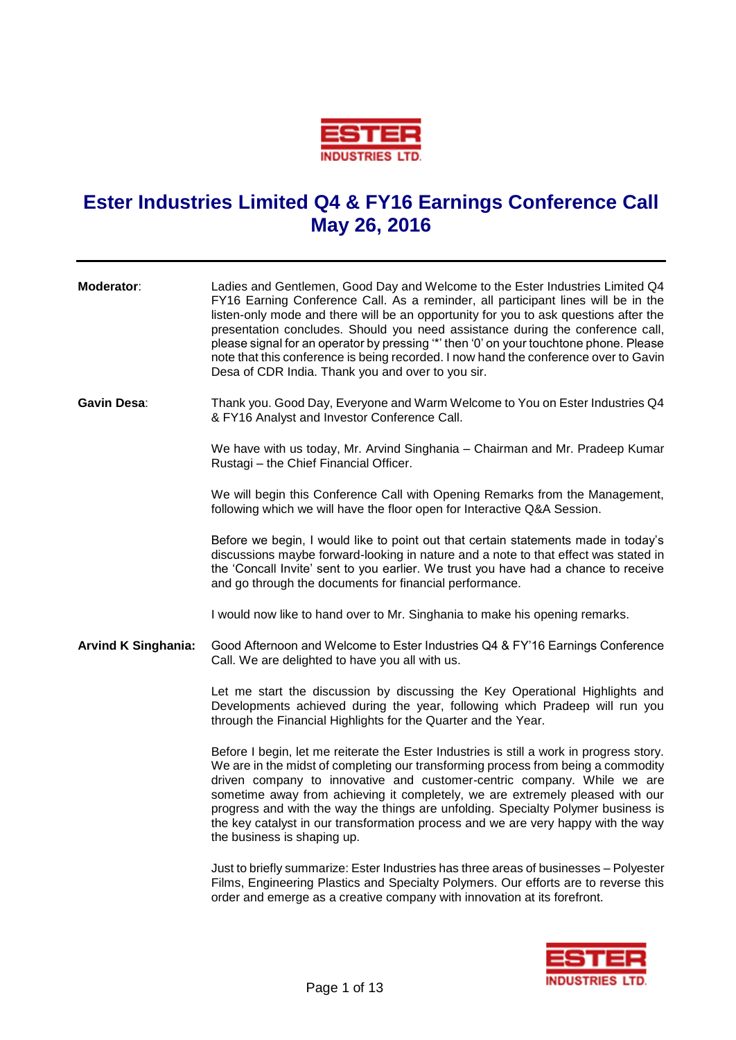

## **Ester Industries Limited Q4 & FY16 Earnings Conference Call May 26, 2016**

| Moderator:                 | Ladies and Gentlemen, Good Day and Welcome to the Ester Industries Limited Q4<br>FY16 Earning Conference Call. As a reminder, all participant lines will be in the<br>listen-only mode and there will be an opportunity for you to ask questions after the<br>presentation concludes. Should you need assistance during the conference call,<br>please signal for an operator by pressing "*' then '0' on your touchtone phone. Please<br>note that this conference is being recorded. I now hand the conference over to Gavin<br>Desa of CDR India. Thank you and over to you sir. |
|----------------------------|-------------------------------------------------------------------------------------------------------------------------------------------------------------------------------------------------------------------------------------------------------------------------------------------------------------------------------------------------------------------------------------------------------------------------------------------------------------------------------------------------------------------------------------------------------------------------------------|
| Gavin Desa:                | Thank you. Good Day, Everyone and Warm Welcome to You on Ester Industries Q4<br>& FY16 Analyst and Investor Conference Call.                                                                                                                                                                                                                                                                                                                                                                                                                                                        |
|                            | We have with us today, Mr. Arvind Singhania - Chairman and Mr. Pradeep Kumar<br>Rustagi - the Chief Financial Officer.                                                                                                                                                                                                                                                                                                                                                                                                                                                              |
|                            | We will begin this Conference Call with Opening Remarks from the Management,<br>following which we will have the floor open for Interactive Q&A Session.                                                                                                                                                                                                                                                                                                                                                                                                                            |
|                            | Before we begin, I would like to point out that certain statements made in today's<br>discussions maybe forward-looking in nature and a note to that effect was stated in<br>the 'Concall Invite' sent to you earlier. We trust you have had a chance to receive<br>and go through the documents for financial performance.                                                                                                                                                                                                                                                         |
|                            | I would now like to hand over to Mr. Singhania to make his opening remarks.                                                                                                                                                                                                                                                                                                                                                                                                                                                                                                         |
| <b>Arvind K Singhania:</b> | Good Afternoon and Welcome to Ester Industries Q4 & FY'16 Earnings Conference<br>Call. We are delighted to have you all with us.                                                                                                                                                                                                                                                                                                                                                                                                                                                    |
|                            | Let me start the discussion by discussing the Key Operational Highlights and<br>Developments achieved during the year, following which Pradeep will run you<br>through the Financial Highlights for the Quarter and the Year.                                                                                                                                                                                                                                                                                                                                                       |
|                            | Before I begin, let me reiterate the Ester Industries is still a work in progress story.<br>We are in the midst of completing our transforming process from being a commodity<br>driven company to innovative and customer-centric company. While we are<br>sometime away from achieving it completely, we are extremely pleased with our<br>progress and with the way the things are unfolding. Specialty Polymer business is<br>the key catalyst in our transformation process and we are very happy with the way<br>the business is shaping up.                                  |
|                            | Just to briefly summarize: Ester Industries has three areas of businesses - Polyester<br>Films, Engineering Plastics and Specialty Polymers. Our efforts are to reverse this                                                                                                                                                                                                                                                                                                                                                                                                        |



order and emerge as a creative company with innovation at its forefront.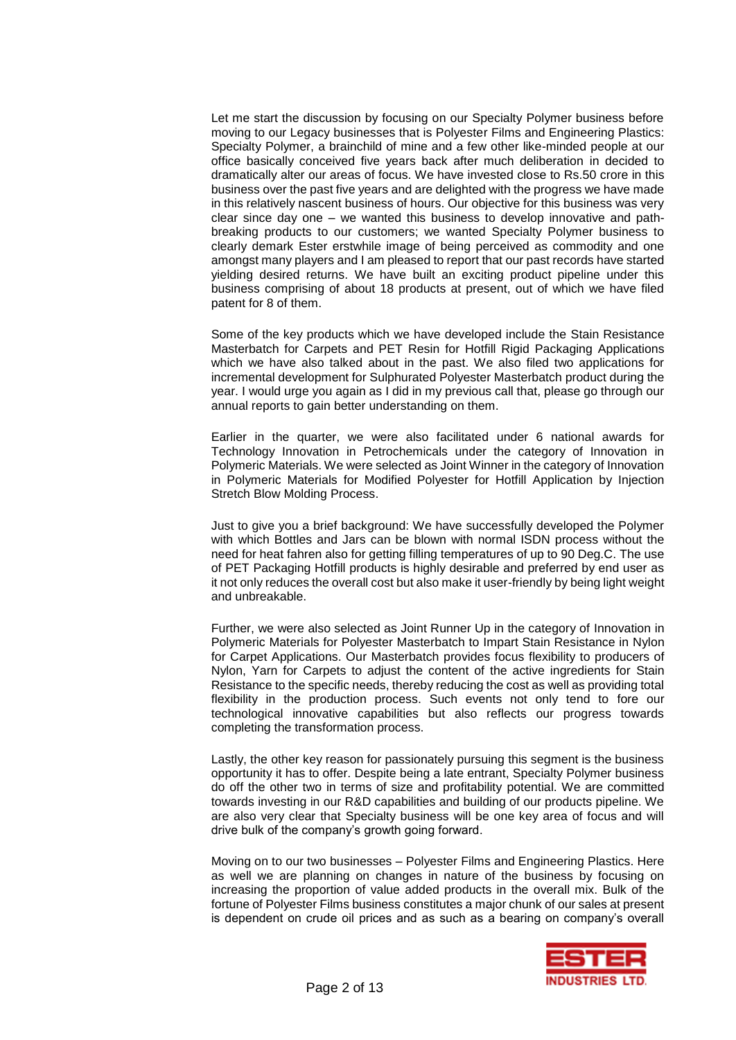Let me start the discussion by focusing on our Specialty Polymer business before moving to our Legacy businesses that is Polyester Films and Engineering Plastics: Specialty Polymer, a brainchild of mine and a few other like-minded people at our office basically conceived five years back after much deliberation in decided to dramatically alter our areas of focus. We have invested close to Rs.50 crore in this business over the past five years and are delighted with the progress we have made in this relatively nascent business of hours. Our objective for this business was very clear since day one – we wanted this business to develop innovative and pathbreaking products to our customers; we wanted Specialty Polymer business to clearly demark Ester erstwhile image of being perceived as commodity and one amongst many players and I am pleased to report that our past records have started yielding desired returns. We have built an exciting product pipeline under this business comprising of about 18 products at present, out of which we have filed patent for 8 of them.

Some of the key products which we have developed include the Stain Resistance Masterbatch for Carpets and PET Resin for Hotfill Rigid Packaging Applications which we have also talked about in the past. We also filed two applications for incremental development for Sulphurated Polyester Masterbatch product during the year. I would urge you again as I did in my previous call that, please go through our annual reports to gain better understanding on them.

Earlier in the quarter, we were also facilitated under 6 national awards for Technology Innovation in Petrochemicals under the category of Innovation in Polymeric Materials. We were selected as Joint Winner in the category of Innovation in Polymeric Materials for Modified Polyester for Hotfill Application by Injection Stretch Blow Molding Process.

Just to give you a brief background: We have successfully developed the Polymer with which Bottles and Jars can be blown with normal ISDN process without the need for heat fahren also for getting filling temperatures of up to 90 Deg.C. The use of PET Packaging Hotfill products is highly desirable and preferred by end user as it not only reduces the overall cost but also make it user-friendly by being light weight and unbreakable.

Further, we were also selected as Joint Runner Up in the category of Innovation in Polymeric Materials for Polyester Masterbatch to Impart Stain Resistance in Nylon for Carpet Applications. Our Masterbatch provides focus flexibility to producers of Nylon, Yarn for Carpets to adjust the content of the active ingredients for Stain Resistance to the specific needs, thereby reducing the cost as well as providing total flexibility in the production process. Such events not only tend to fore our technological innovative capabilities but also reflects our progress towards completing the transformation process.

Lastly, the other key reason for passionately pursuing this segment is the business opportunity it has to offer. Despite being a late entrant, Specialty Polymer business do off the other two in terms of size and profitability potential. We are committed towards investing in our R&D capabilities and building of our products pipeline. We are also very clear that Specialty business will be one key area of focus and will drive bulk of the company's growth going forward.

Moving on to our two businesses – Polyester Films and Engineering Plastics. Here as well we are planning on changes in nature of the business by focusing on increasing the proportion of value added products in the overall mix. Bulk of the fortune of Polyester Films business constitutes a major chunk of our sales at present is dependent on crude oil prices and as such as a bearing on company's overall

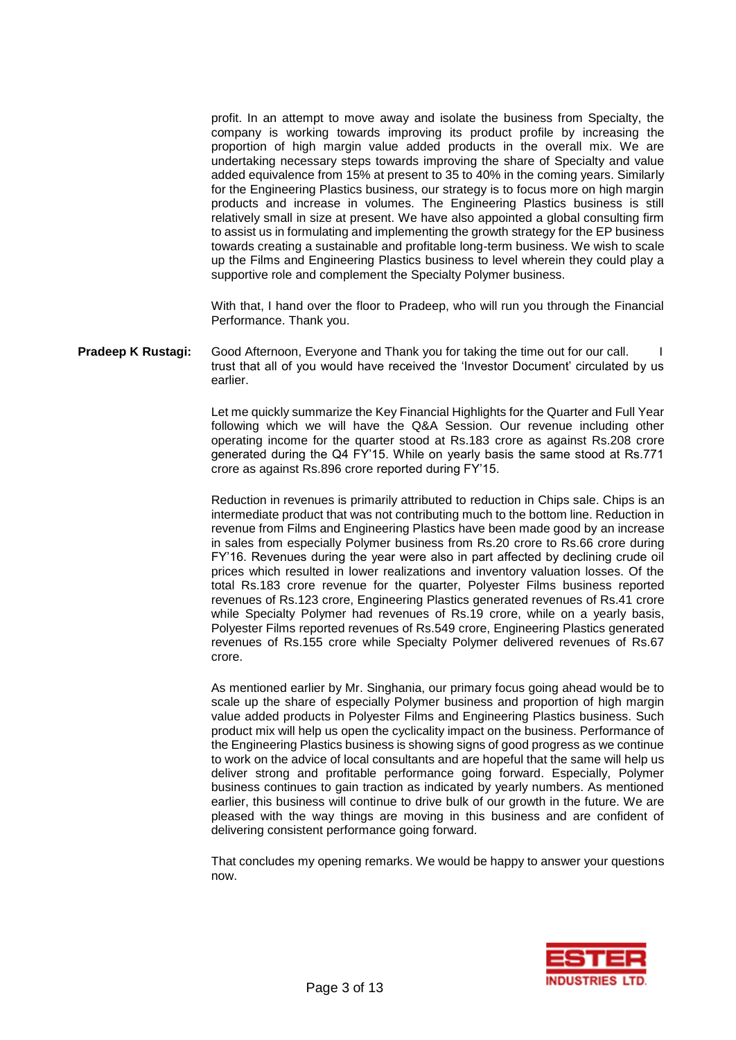profit. In an attempt to move away and isolate the business from Specialty, the company is working towards improving its product profile by increasing the proportion of high margin value added products in the overall mix. We are undertaking necessary steps towards improving the share of Specialty and value added equivalence from 15% at present to 35 to 40% in the coming years. Similarly for the Engineering Plastics business, our strategy is to focus more on high margin products and increase in volumes. The Engineering Plastics business is still relatively small in size at present. We have also appointed a global consulting firm to assist us in formulating and implementing the growth strategy for the EP business towards creating a sustainable and profitable long-term business. We wish to scale up the Films and Engineering Plastics business to level wherein they could play a supportive role and complement the Specialty Polymer business.

With that, I hand over the floor to Pradeep, who will run you through the Financial Performance. Thank you.

## **Pradeep K Rustagi:** Good Afternoon, Everyone and Thank you for taking the time out for our call. trust that all of you would have received the 'Investor Document' circulated by us earlier.

Let me quickly summarize the Key Financial Highlights for the Quarter and Full Year following which we will have the Q&A Session. Our revenue including other operating income for the quarter stood at Rs.183 crore as against Rs.208 crore generated during the Q4 FY'15. While on yearly basis the same stood at Rs.771 crore as against Rs.896 crore reported during FY'15.

Reduction in revenues is primarily attributed to reduction in Chips sale. Chips is an intermediate product that was not contributing much to the bottom line. Reduction in revenue from Films and Engineering Plastics have been made good by an increase in sales from especially Polymer business from Rs.20 crore to Rs.66 crore during FY'16. Revenues during the year were also in part affected by declining crude oil prices which resulted in lower realizations and inventory valuation losses. Of the total Rs.183 crore revenue for the quarter, Polyester Films business reported revenues of Rs.123 crore, Engineering Plastics generated revenues of Rs.41 crore while Specialty Polymer had revenues of Rs.19 crore, while on a yearly basis, Polyester Films reported revenues of Rs.549 crore, Engineering Plastics generated revenues of Rs.155 crore while Specialty Polymer delivered revenues of Rs.67 crore.

As mentioned earlier by Mr. Singhania, our primary focus going ahead would be to scale up the share of especially Polymer business and proportion of high margin value added products in Polyester Films and Engineering Plastics business. Such product mix will help us open the cyclicality impact on the business. Performance of the Engineering Plastics business is showing signs of good progress as we continue to work on the advice of local consultants and are hopeful that the same will help us deliver strong and profitable performance going forward. Especially, Polymer business continues to gain traction as indicated by yearly numbers. As mentioned earlier, this business will continue to drive bulk of our growth in the future. We are pleased with the way things are moving in this business and are confident of delivering consistent performance going forward.

That concludes my opening remarks. We would be happy to answer your questions now.

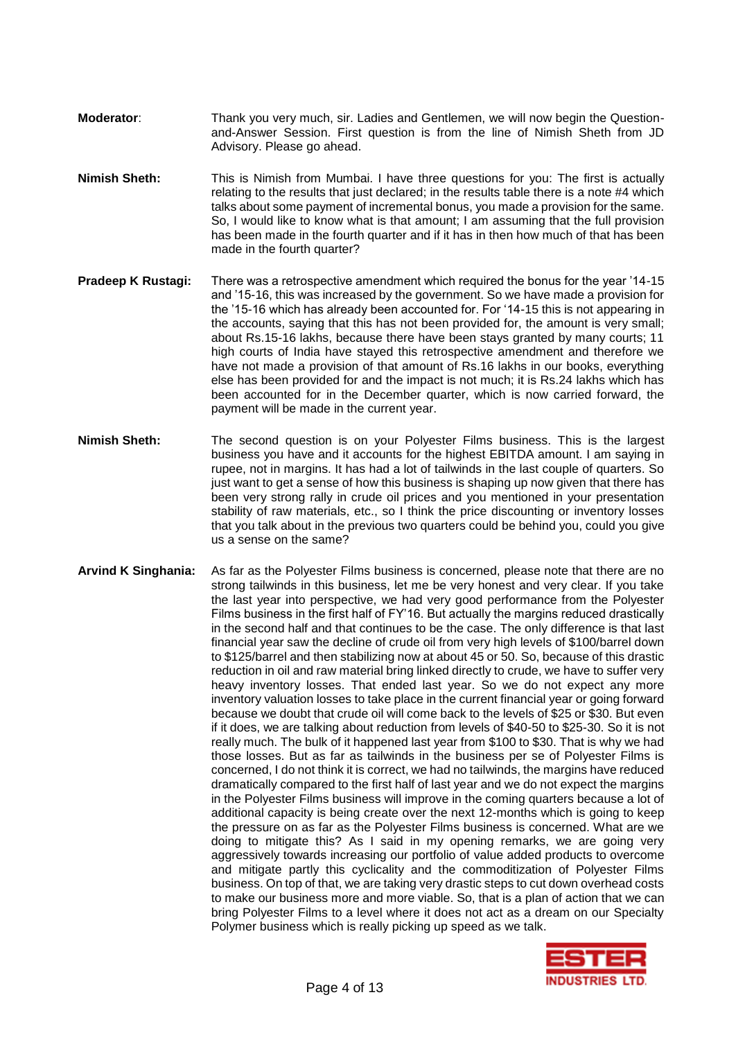- **Moderator**: Thank you very much, sir. Ladies and Gentlemen, we will now begin the Questionand-Answer Session. First question is from the line of Nimish Sheth from JD Advisory. Please go ahead.
- **Nimish Sheth:** This is Nimish from Mumbai. I have three questions for you: The first is actually relating to the results that just declared; in the results table there is a note #4 which talks about some payment of incremental bonus, you made a provision for the same. So, I would like to know what is that amount; I am assuming that the full provision has been made in the fourth quarter and if it has in then how much of that has been made in the fourth quarter?
- **Pradeep K Rustagi:** There was a retrospective amendment which required the bonus for the year '14-15 and '15-16, this was increased by the government. So we have made a provision for the '15-16 which has already been accounted for. For '14-15 this is not appearing in the accounts, saying that this has not been provided for, the amount is very small; about Rs.15-16 lakhs, because there have been stays granted by many courts; 11 high courts of India have stayed this retrospective amendment and therefore we have not made a provision of that amount of Rs.16 lakhs in our books, everything else has been provided for and the impact is not much; it is Rs.24 lakhs which has been accounted for in the December quarter, which is now carried forward, the payment will be made in the current year.
- **Nimish Sheth:** The second question is on your Polyester Films business. This is the largest business you have and it accounts for the highest EBITDA amount. I am saying in rupee, not in margins. It has had a lot of tailwinds in the last couple of quarters. So just want to get a sense of how this business is shaping up now given that there has been very strong rally in crude oil prices and you mentioned in your presentation stability of raw materials, etc., so I think the price discounting or inventory losses that you talk about in the previous two quarters could be behind you, could you give us a sense on the same?
- **Arvind K Singhania:** As far as the Polyester Films business is concerned, please note that there are no strong tailwinds in this business, let me be very honest and very clear. If you take the last year into perspective, we had very good performance from the Polyester Films business in the first half of FY'16. But actually the margins reduced drastically in the second half and that continues to be the case. The only difference is that last financial year saw the decline of crude oil from very high levels of \$100/barrel down to \$125/barrel and then stabilizing now at about 45 or 50. So, because of this drastic reduction in oil and raw material bring linked directly to crude, we have to suffer very heavy inventory losses. That ended last year. So we do not expect any more inventory valuation losses to take place in the current financial year or going forward because we doubt that crude oil will come back to the levels of \$25 or \$30. But even if it does, we are talking about reduction from levels of \$40-50 to \$25-30. So it is not really much. The bulk of it happened last year from \$100 to \$30. That is why we had those losses. But as far as tailwinds in the business per se of Polyester Films is concerned, I do not think it is correct, we had no tailwinds, the margins have reduced dramatically compared to the first half of last year and we do not expect the margins in the Polyester Films business will improve in the coming quarters because a lot of additional capacity is being create over the next 12-months which is going to keep the pressure on as far as the Polyester Films business is concerned. What are we doing to mitigate this? As I said in my opening remarks, we are going very aggressively towards increasing our portfolio of value added products to overcome and mitigate partly this cyclicality and the commoditization of Polyester Films business. On top of that, we are taking very drastic steps to cut down overhead costs to make our business more and more viable. So, that is a plan of action that we can bring Polyester Films to a level where it does not act as a dream on our Specialty Polymer business which is really picking up speed as we talk.

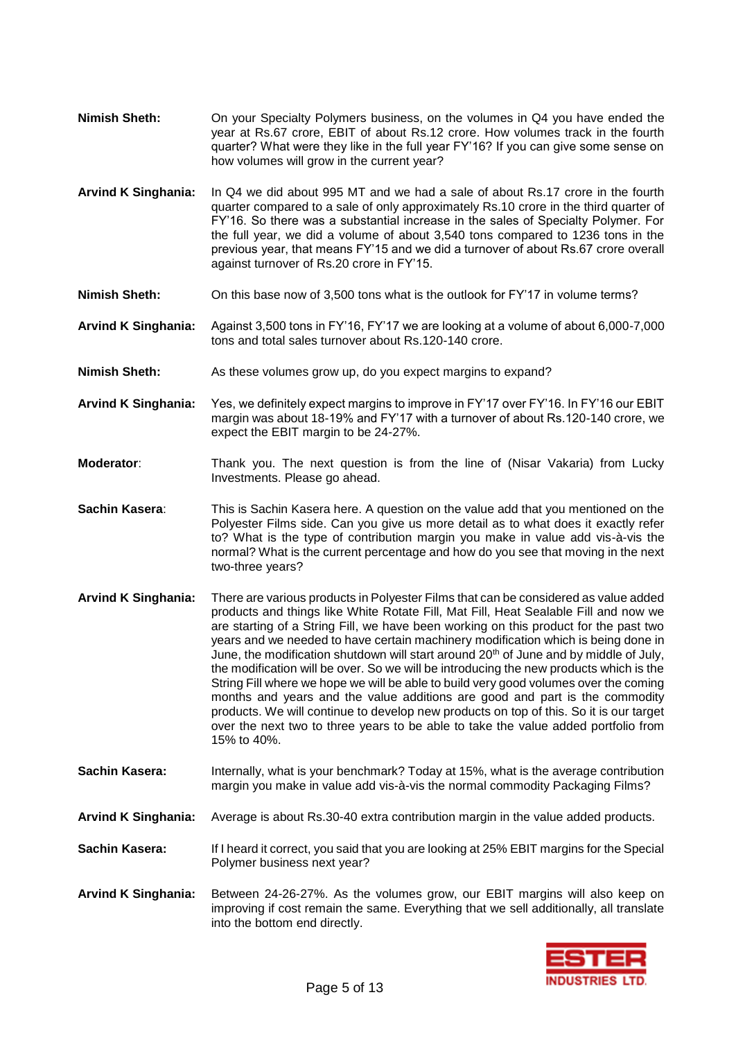- **Nimish Sheth:** On your Specialty Polymers business, on the volumes in Q4 you have ended the year at Rs.67 crore, EBIT of about Rs.12 crore. How volumes track in the fourth quarter? What were they like in the full year FY'16? If you can give some sense on how volumes will grow in the current year?
- **Arvind K Singhania:** In Q4 we did about 995 MT and we had a sale of about Rs.17 crore in the fourth quarter compared to a sale of only approximately Rs.10 crore in the third quarter of FY'16. So there was a substantial increase in the sales of Specialty Polymer. For the full year, we did a volume of about 3,540 tons compared to 1236 tons in the previous year, that means FY'15 and we did a turnover of about Rs.67 crore overall against turnover of Rs.20 crore in FY'15.
- **Nimish Sheth:** On this base now of 3,500 tons what is the outlook for FY'17 in volume terms?
- **Arvind K Singhania:** Against 3,500 tons in FY'16, FY'17 we are looking at a volume of about 6,000-7,000 tons and total sales turnover about Rs.120-140 crore.
- **Nimish Sheth:** As these volumes grow up, do you expect margins to expand?
- **Arvind K Singhania:** Yes, we definitely expect margins to improve in FY'17 over FY'16. In FY'16 our EBIT margin was about 18-19% and FY'17 with a turnover of about Rs.120-140 crore, we expect the EBIT margin to be 24-27%.
- **Moderator:** Thank you. The next question is from the line of (Nisar Vakaria) from Lucky Investments. Please go ahead.
- **Sachin Kasera**: This is Sachin Kasera here. A question on the value add that you mentioned on the Polyester Films side. Can you give us more detail as to what does it exactly refer to? What is the type of contribution margin you make in value add vis-à-vis the normal? What is the current percentage and how do you see that moving in the next two-three years?
- **Arvind K Singhania:** There are various products in Polyester Films that can be considered as value added products and things like White Rotate Fill, Mat Fill, Heat Sealable Fill and now we are starting of a String Fill, we have been working on this product for the past two years and we needed to have certain machinery modification which is being done in June, the modification shutdown will start around 20<sup>th</sup> of June and by middle of July, the modification will be over. So we will be introducing the new products which is the String Fill where we hope we will be able to build very good volumes over the coming months and years and the value additions are good and part is the commodity products. We will continue to develop new products on top of this. So it is our target over the next two to three years to be able to take the value added portfolio from 15% to 40%.
- **Sachin Kasera:** Internally, what is your benchmark? Today at 15%, what is the average contribution margin you make in value add vis-à-vis the normal commodity Packaging Films?
- **Arvind K Singhania:** Average is about Rs.30-40 extra contribution margin in the value added products.
- **Sachin Kasera:** If I heard it correct, you said that you are looking at 25% EBIT margins for the Special Polymer business next year?
- **Arvind K Singhania:** Between 24-26-27%. As the volumes grow, our EBIT margins will also keep on improving if cost remain the same. Everything that we sell additionally, all translate into the bottom end directly.

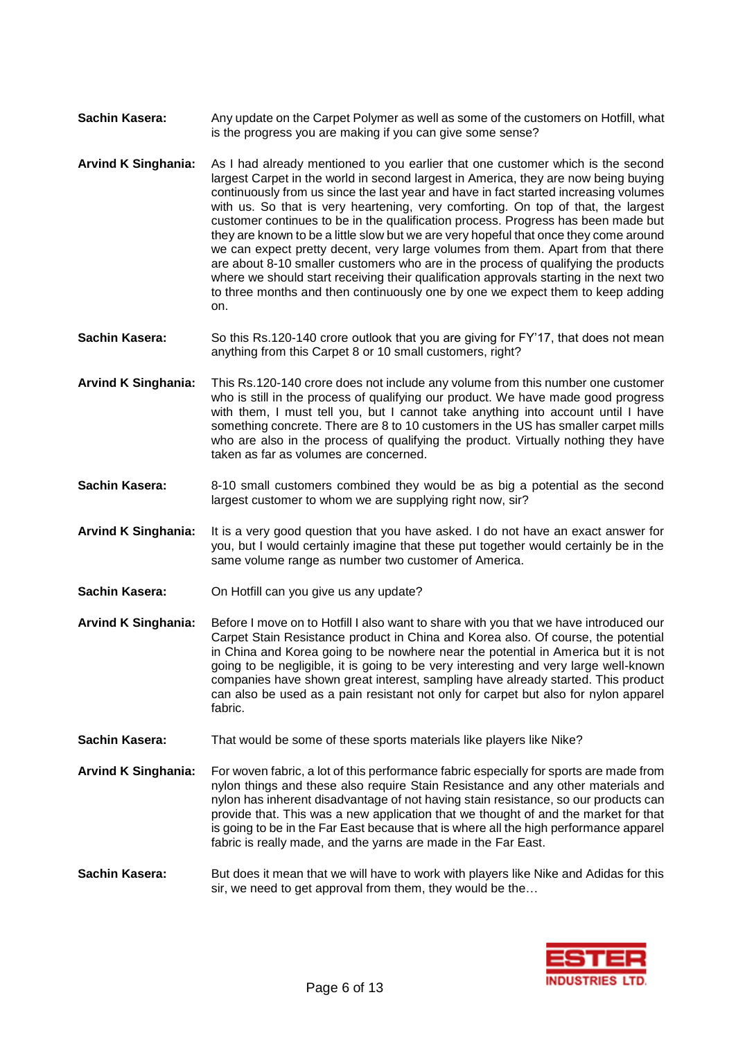- **Sachin Kasera:** Any update on the Carpet Polymer as well as some of the customers on Hotfill, what is the progress you are making if you can give some sense?
- **Arvind K Singhania:** As I had already mentioned to you earlier that one customer which is the second largest Carpet in the world in second largest in America, they are now being buying continuously from us since the last year and have in fact started increasing volumes with us. So that is very heartening, very comforting. On top of that, the largest customer continues to be in the qualification process. Progress has been made but they are known to be a little slow but we are very hopeful that once they come around we can expect pretty decent, very large volumes from them. Apart from that there are about 8-10 smaller customers who are in the process of qualifying the products where we should start receiving their qualification approvals starting in the next two to three months and then continuously one by one we expect them to keep adding on.
- Sachin Kasera: So this Rs.120-140 crore outlook that you are giving for FY'17, that does not mean anything from this Carpet 8 or 10 small customers, right?
- **Arvind K Singhania:** This Rs.120-140 crore does not include any volume from this number one customer who is still in the process of qualifying our product. We have made good progress with them, I must tell you, but I cannot take anything into account until I have something concrete. There are 8 to 10 customers in the US has smaller carpet mills who are also in the process of qualifying the product. Virtually nothing they have taken as far as volumes are concerned.
- **Sachin Kasera:** 8-10 small customers combined they would be as big a potential as the second largest customer to whom we are supplying right now, sir?
- **Arvind K Singhania:** It is a very good question that you have asked. I do not have an exact answer for you, but I would certainly imagine that these put together would certainly be in the same volume range as number two customer of America.
- **Sachin Kasera:** On Hotfill can you give us any update?
- **Arvind K Singhania:** Before I move on to Hotfill I also want to share with you that we have introduced our Carpet Stain Resistance product in China and Korea also. Of course, the potential in China and Korea going to be nowhere near the potential in America but it is not going to be negligible, it is going to be very interesting and very large well-known companies have shown great interest, sampling have already started. This product can also be used as a pain resistant not only for carpet but also for nylon apparel fabric.
- **Sachin Kasera:** That would be some of these sports materials like players like Nike?
- **Arvind K Singhania:** For woven fabric, a lot of this performance fabric especially for sports are made from nylon things and these also require Stain Resistance and any other materials and nylon has inherent disadvantage of not having stain resistance, so our products can provide that. This was a new application that we thought of and the market for that is going to be in the Far East because that is where all the high performance apparel fabric is really made, and the yarns are made in the Far East.
- **Sachin Kasera:** But does it mean that we will have to work with players like Nike and Adidas for this sir, we need to get approval from them, they would be the…

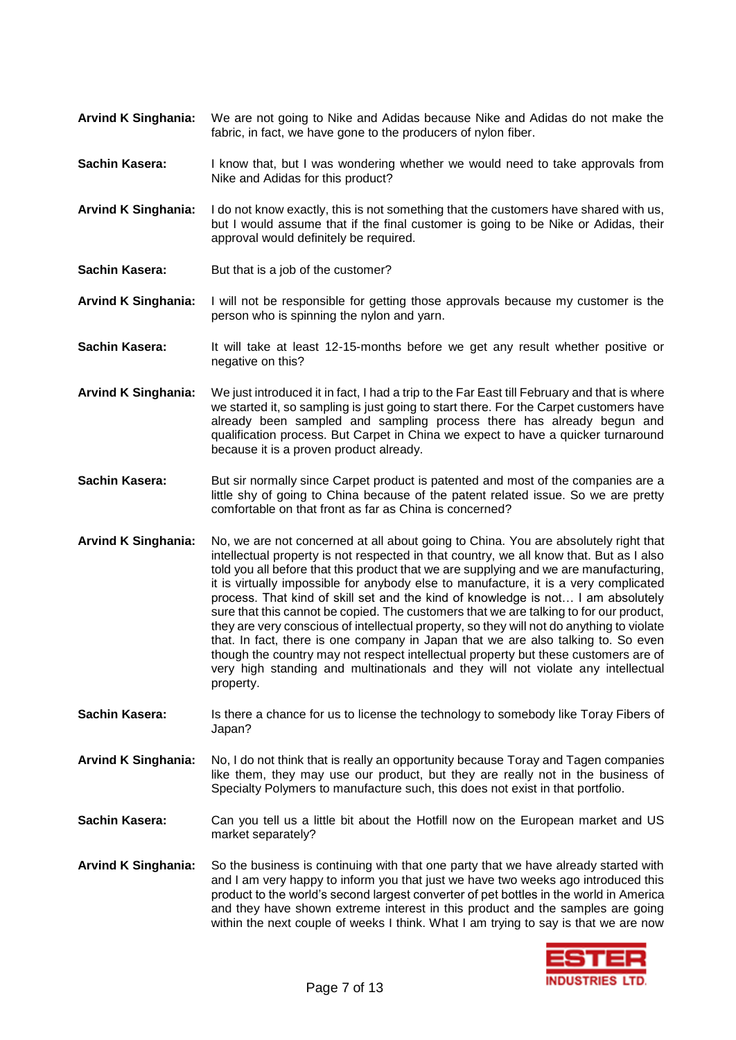- **Arvind K Singhania:** We are not going to Nike and Adidas because Nike and Adidas do not make the fabric, in fact, we have gone to the producers of nylon fiber.
- **Sachin Kasera:** I know that, but I was wondering whether we would need to take approvals from Nike and Adidas for this product?
- **Arvind K Singhania:** I do not know exactly, this is not something that the customers have shared with us, but I would assume that if the final customer is going to be Nike or Adidas, their approval would definitely be required.
- **Sachin Kasera:** But that is a job of the customer?
- **Arvind K Singhania:** I will not be responsible for getting those approvals because my customer is the person who is spinning the nylon and yarn.
- **Sachin Kasera:** It will take at least 12-15-months before we get any result whether positive or negative on this?
- **Arvind K Singhania:** We just introduced it in fact, I had a trip to the Far East till February and that is where we started it, so sampling is just going to start there. For the Carpet customers have already been sampled and sampling process there has already begun and qualification process. But Carpet in China we expect to have a quicker turnaround because it is a proven product already.
- **Sachin Kasera:** But sir normally since Carpet product is patented and most of the companies are a little shy of going to China because of the patent related issue. So we are pretty comfortable on that front as far as China is concerned?
- **Arvind K Singhania:** No, we are not concerned at all about going to China. You are absolutely right that intellectual property is not respected in that country, we all know that. But as I also told you all before that this product that we are supplying and we are manufacturing, it is virtually impossible for anybody else to manufacture, it is a very complicated process. That kind of skill set and the kind of knowledge is not… I am absolutely sure that this cannot be copied. The customers that we are talking to for our product, they are very conscious of intellectual property, so they will not do anything to violate that. In fact, there is one company in Japan that we are also talking to. So even though the country may not respect intellectual property but these customers are of very high standing and multinationals and they will not violate any intellectual property.
- **Sachin Kasera:** Is there a chance for us to license the technology to somebody like Toray Fibers of Japan?
- **Arvind K Singhania:** No, I do not think that is really an opportunity because Toray and Tagen companies like them, they may use our product, but they are really not in the business of Specialty Polymers to manufacture such, this does not exist in that portfolio.
- **Sachin Kasera:** Can you tell us a little bit about the Hotfill now on the European market and US market separately?
- **Arvind K Singhania:** So the business is continuing with that one party that we have already started with and I am very happy to inform you that just we have two weeks ago introduced this product to the world's second largest converter of pet bottles in the world in America and they have shown extreme interest in this product and the samples are going within the next couple of weeks I think. What I am trying to say is that we are now

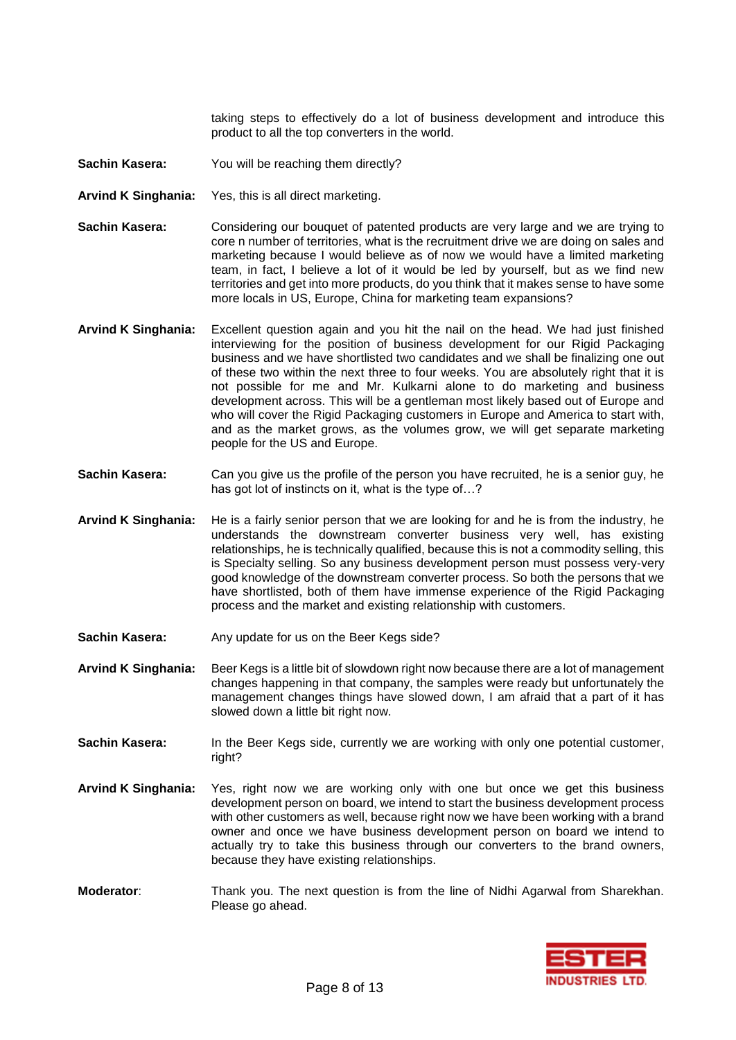taking steps to effectively do a lot of business development and introduce this product to all the top converters in the world.

- **Sachin Kasera:** You will be reaching them directly?
- **Arvind K Singhania:** Yes, this is all direct marketing.
- **Sachin Kasera:** Considering our bouquet of patented products are very large and we are trying to core n number of territories, what is the recruitment drive we are doing on sales and marketing because I would believe as of now we would have a limited marketing team, in fact, I believe a lot of it would be led by yourself, but as we find new territories and get into more products, do you think that it makes sense to have some more locals in US, Europe, China for marketing team expansions?
- **Arvind K Singhania:** Excellent question again and you hit the nail on the head. We had just finished interviewing for the position of business development for our Rigid Packaging business and we have shortlisted two candidates and we shall be finalizing one out of these two within the next three to four weeks. You are absolutely right that it is not possible for me and Mr. Kulkarni alone to do marketing and business development across. This will be a gentleman most likely based out of Europe and who will cover the Rigid Packaging customers in Europe and America to start with, and as the market grows, as the volumes grow, we will get separate marketing people for the US and Europe.
- **Sachin Kasera:** Can you give us the profile of the person you have recruited, he is a senior guy, he has got lot of instincts on it, what is the type of...?
- **Arvind K Singhania:** He is a fairly senior person that we are looking for and he is from the industry, he understands the downstream converter business very well, has existing relationships, he is technically qualified, because this is not a commodity selling, this is Specialty selling. So any business development person must possess very-very good knowledge of the downstream converter process. So both the persons that we have shortlisted, both of them have immense experience of the Rigid Packaging process and the market and existing relationship with customers.
- **Sachin Kasera:** Any update for us on the Beer Kegs side?
- **Arvind K Singhania:** Beer Kegs is a little bit of slowdown right now because there are a lot of management changes happening in that company, the samples were ready but unfortunately the management changes things have slowed down, I am afraid that a part of it has slowed down a little bit right now.
- **Sachin Kasera:** In the Beer Kegs side, currently we are working with only one potential customer, right?
- **Arvind K Singhania:** Yes, right now we are working only with one but once we get this business development person on board, we intend to start the business development process with other customers as well, because right now we have been working with a brand owner and once we have business development person on board we intend to actually try to take this business through our converters to the brand owners, because they have existing relationships.
- **Moderator**: Thank you. The next question is from the line of Nidhi Agarwal from Sharekhan. Please go ahead.

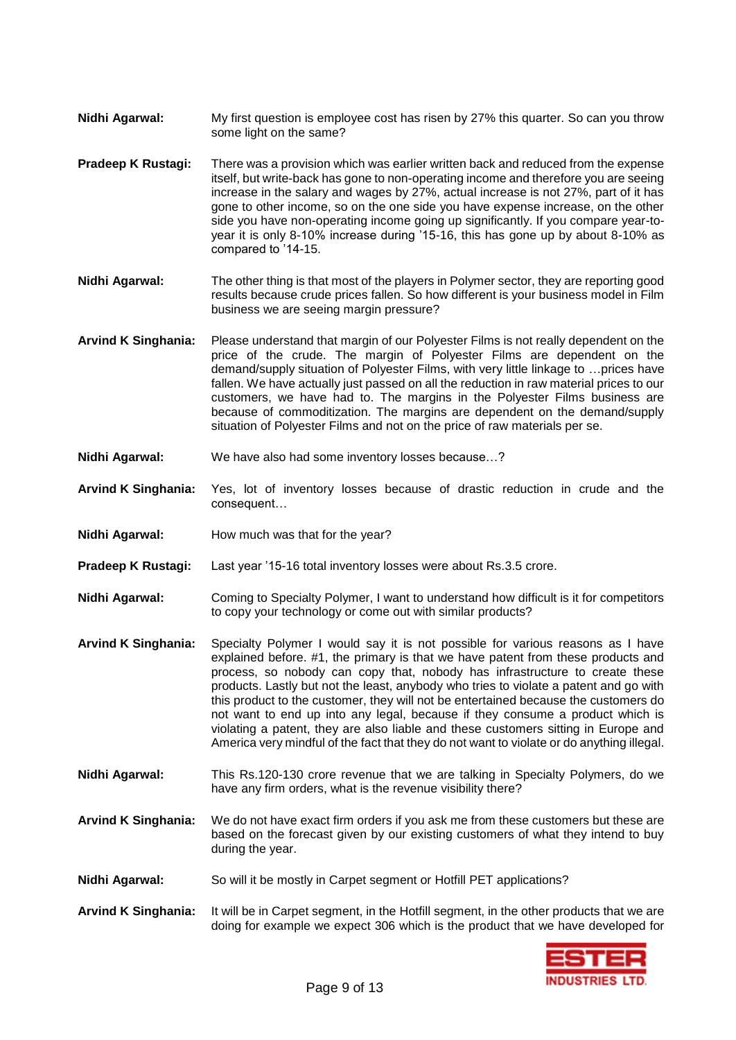- **Nidhi Agarwal:** My first question is employee cost has risen by 27% this quarter. So can you throw some light on the same?
- **Pradeep K Rustagi:** There was a provision which was earlier written back and reduced from the expense itself, but write-back has gone to non-operating income and therefore you are seeing increase in the salary and wages by 27%, actual increase is not 27%, part of it has gone to other income, so on the one side you have expense increase, on the other side you have non-operating income going up significantly. If you compare year-toyear it is only 8-10% increase during '15-16, this has gone up by about 8-10% as compared to '14-15.
- **Nidhi Agarwal:** The other thing is that most of the players in Polymer sector, they are reporting good results because crude prices fallen. So how different is your business model in Film business we are seeing margin pressure?
- **Arvind K Singhania:** Please understand that margin of our Polyester Films is not really dependent on the price of the crude. The margin of Polyester Films are dependent on the demand/supply situation of Polyester Films, with very little linkage to …prices have fallen. We have actually just passed on all the reduction in raw material prices to our customers, we have had to. The margins in the Polyester Films business are because of commoditization. The margins are dependent on the demand/supply situation of Polyester Films and not on the price of raw materials per se.
- **Nidhi Agarwal:** We have also had some inventory losses because…?
- **Arvind K Singhania:** Yes, lot of inventory losses because of drastic reduction in crude and the consequent…
- **Nidhi Agarwal:** How much was that for the year?
- **Pradeep K Rustagi:** Last year '15-16 total inventory losses were about Rs.3.5 crore.
- **Nidhi Agarwal:** Coming to Specialty Polymer, I want to understand how difficult is it for competitors to copy your technology or come out with similar products?
- **Arvind K Singhania:** Specialty Polymer I would say it is not possible for various reasons as I have explained before. #1, the primary is that we have patent from these products and process, so nobody can copy that, nobody has infrastructure to create these products. Lastly but not the least, anybody who tries to violate a patent and go with this product to the customer, they will not be entertained because the customers do not want to end up into any legal, because if they consume a product which is violating a patent, they are also liable and these customers sitting in Europe and America very mindful of the fact that they do not want to violate or do anything illegal.
- **Nidhi Agarwal:** This Rs.120-130 crore revenue that we are talking in Specialty Polymers, do we have any firm orders, what is the revenue visibility there?
- **Arvind K Singhania:** We do not have exact firm orders if you ask me from these customers but these are based on the forecast given by our existing customers of what they intend to buy during the year.
- **Nidhi Agarwal:** So will it be mostly in Carpet segment or Hotfill PET applications?
- **Arvind K Singhania:** It will be in Carpet segment, in the Hotfill segment, in the other products that we are doing for example we expect 306 which is the product that we have developed for

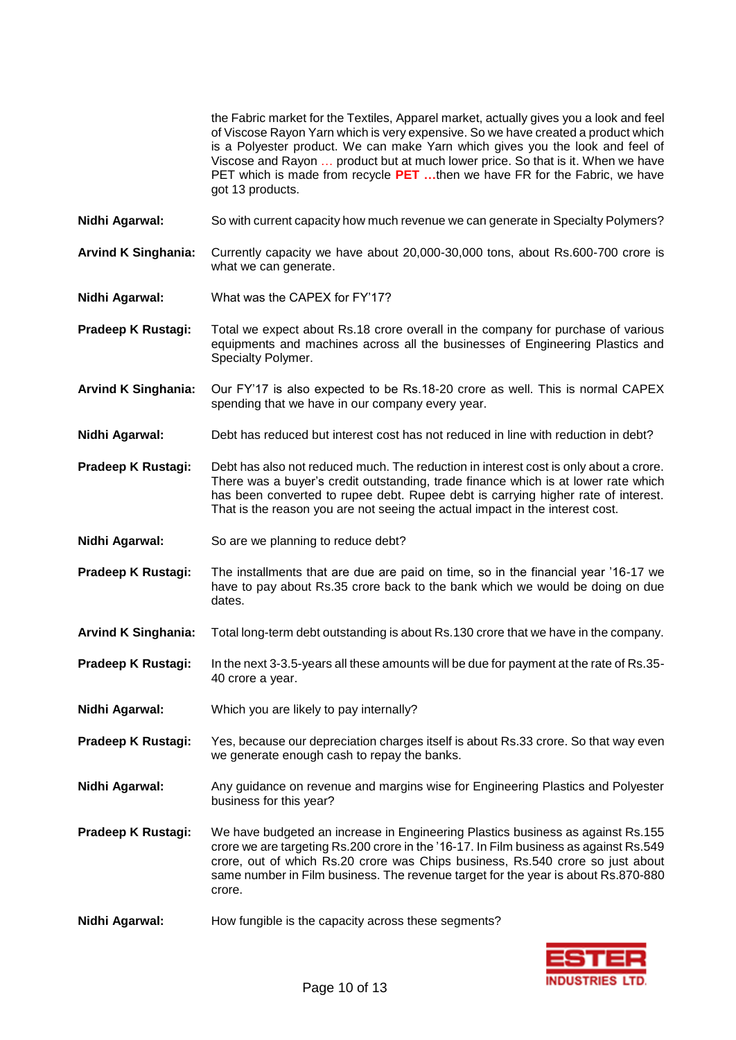the Fabric market for the Textiles, Apparel market, actually gives you a look and feel of Viscose Rayon Yarn which is very expensive. So we have created a product which is a Polyester product. We can make Yarn which gives you the look and feel of Viscose and Rayon … product but at much lower price. So that is it. When we have PET which is made from recycle **PET …**then we have FR for the Fabric, we have got 13 products.

- **Nidhi Agarwal:** So with current capacity how much revenue we can generate in Specialty Polymers?
- **Arvind K Singhania:** Currently capacity we have about 20,000-30,000 tons, about Rs.600-700 crore is what we can generate.
- **Nidhi Agarwal:** What was the CAPEX for FY'17?
- **Pradeep K Rustagi:** Total we expect about Rs.18 crore overall in the company for purchase of various equipments and machines across all the businesses of Engineering Plastics and Specialty Polymer.
- **Arvind K Singhania:** Our FY'17 is also expected to be Rs.18-20 crore as well. This is normal CAPEX spending that we have in our company every year.
- **Nidhi Agarwal:** Debt has reduced but interest cost has not reduced in line with reduction in debt?
- **Pradeep K Rustagi:** Debt has also not reduced much. The reduction in interest cost is only about a crore. There was a buyer's credit outstanding, trade finance which is at lower rate which has been converted to rupee debt. Rupee debt is carrying higher rate of interest. That is the reason you are not seeing the actual impact in the interest cost.
- **Nidhi Agarwal:** So are we planning to reduce debt?
- **Pradeep K Rustagi:** The installments that are due are paid on time, so in the financial year '16-17 we have to pay about Rs.35 crore back to the bank which we would be doing on due dates.
- **Arvind K Singhania:** Total long-term debt outstanding is about Rs.130 crore that we have in the company.
- **Pradeep K Rustagi:** In the next 3-3.5-years all these amounts will be due for payment at the rate of Rs.35- 40 crore a year.
- **Nidhi Agarwal:** Which you are likely to pay internally?
- **Pradeep K Rustagi:** Yes, because our depreciation charges itself is about Rs.33 crore. So that way even we generate enough cash to repay the banks.
- **Nidhi Agarwal:** Any guidance on revenue and margins wise for Engineering Plastics and Polyester business for this year?
- **Pradeep K Rustagi:** We have budgeted an increase in Engineering Plastics business as against Rs.155 crore we are targeting Rs.200 crore in the '16-17. In Film business as against Rs.549 crore, out of which Rs.20 crore was Chips business, Rs.540 crore so just about same number in Film business. The revenue target for the year is about Rs.870-880 crore.
- Nidhi Agarwal: How fungible is the capacity across these segments?

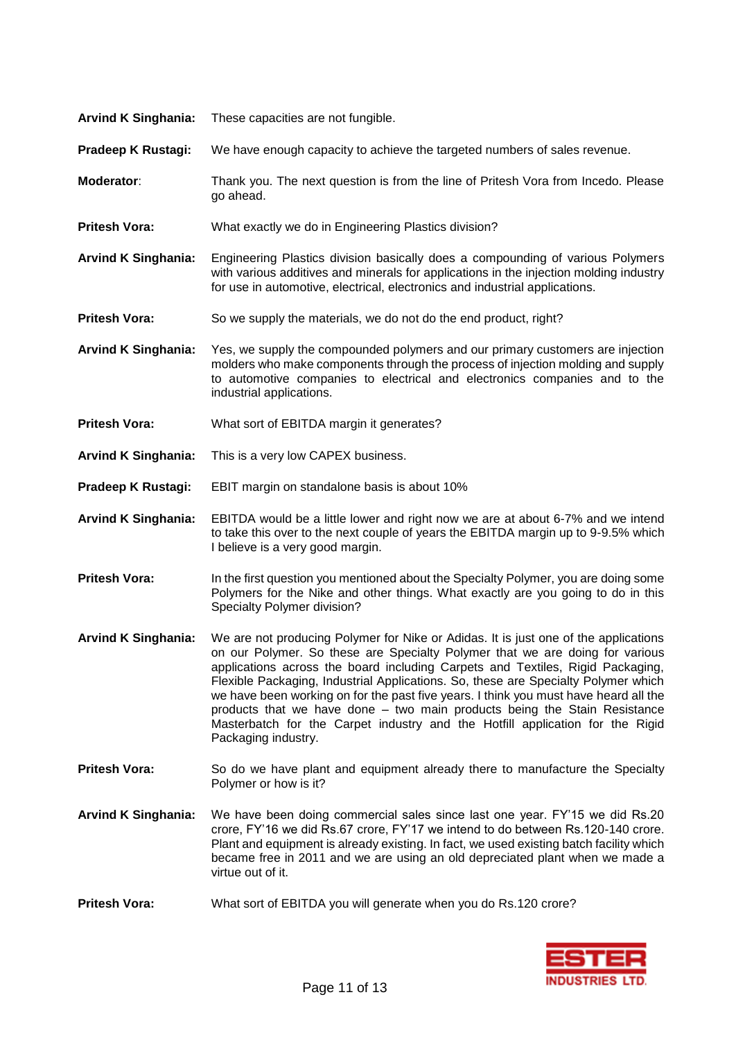| <b>Arvind K Singhania:</b> | These capacities are not fungible.                                                                                                                                                                                                                                                                                                                                                                                                                                                                                                                                                                                       |
|----------------------------|--------------------------------------------------------------------------------------------------------------------------------------------------------------------------------------------------------------------------------------------------------------------------------------------------------------------------------------------------------------------------------------------------------------------------------------------------------------------------------------------------------------------------------------------------------------------------------------------------------------------------|
| Pradeep K Rustagi:         | We have enough capacity to achieve the targeted numbers of sales revenue.                                                                                                                                                                                                                                                                                                                                                                                                                                                                                                                                                |
| Moderator:                 | Thank you. The next question is from the line of Pritesh Vora from Incedo. Please<br>go ahead.                                                                                                                                                                                                                                                                                                                                                                                                                                                                                                                           |
| <b>Pritesh Vora:</b>       | What exactly we do in Engineering Plastics division?                                                                                                                                                                                                                                                                                                                                                                                                                                                                                                                                                                     |
| <b>Arvind K Singhania:</b> | Engineering Plastics division basically does a compounding of various Polymers<br>with various additives and minerals for applications in the injection molding industry<br>for use in automotive, electrical, electronics and industrial applications.                                                                                                                                                                                                                                                                                                                                                                  |
| <b>Pritesh Vora:</b>       | So we supply the materials, we do not do the end product, right?                                                                                                                                                                                                                                                                                                                                                                                                                                                                                                                                                         |
| <b>Arvind K Singhania:</b> | Yes, we supply the compounded polymers and our primary customers are injection<br>molders who make components through the process of injection molding and supply<br>to automotive companies to electrical and electronics companies and to the<br>industrial applications.                                                                                                                                                                                                                                                                                                                                              |
| <b>Pritesh Vora:</b>       | What sort of EBITDA margin it generates?                                                                                                                                                                                                                                                                                                                                                                                                                                                                                                                                                                                 |
| <b>Arvind K Singhania:</b> | This is a very low CAPEX business.                                                                                                                                                                                                                                                                                                                                                                                                                                                                                                                                                                                       |
| Pradeep K Rustagi:         | EBIT margin on standalone basis is about 10%                                                                                                                                                                                                                                                                                                                                                                                                                                                                                                                                                                             |
| <b>Arvind K Singhania:</b> | EBITDA would be a little lower and right now we are at about 6-7% and we intend<br>to take this over to the next couple of years the EBITDA margin up to 9-9.5% which<br>I believe is a very good margin.                                                                                                                                                                                                                                                                                                                                                                                                                |
| <b>Pritesh Vora:</b>       | In the first question you mentioned about the Specialty Polymer, you are doing some<br>Polymers for the Nike and other things. What exactly are you going to do in this<br>Specialty Polymer division?                                                                                                                                                                                                                                                                                                                                                                                                                   |
| <b>Arvind K Singhania:</b> | We are not producing Polymer for Nike or Adidas. It is just one of the applications<br>on our Polymer. So these are Specialty Polymer that we are doing for various<br>applications across the board including Carpets and Textiles, Rigid Packaging,<br>Flexible Packaging, Industrial Applications. So, these are Specialty Polymer which<br>we have been working on for the past five years. I think you must have heard all the<br>products that we have done – two main products being the Stain Resistance<br>Masterbatch for the Carpet industry and the Hotfill application for the Rigid<br>Packaging industry. |

- **Pritesh Vora:** So do we have plant and equipment already there to manufacture the Specialty Polymer or how is it?
- **Arvind K Singhania:** We have been doing commercial sales since last one year. FY'15 we did Rs.20 crore, FY'16 we did Rs.67 crore, FY'17 we intend to do between Rs.120-140 crore. Plant and equipment is already existing. In fact, we used existing batch facility which became free in 2011 and we are using an old depreciated plant when we made a virtue out of it.
- **Pritesh Vora:** What sort of EBITDA you will generate when you do Rs.120 crore?

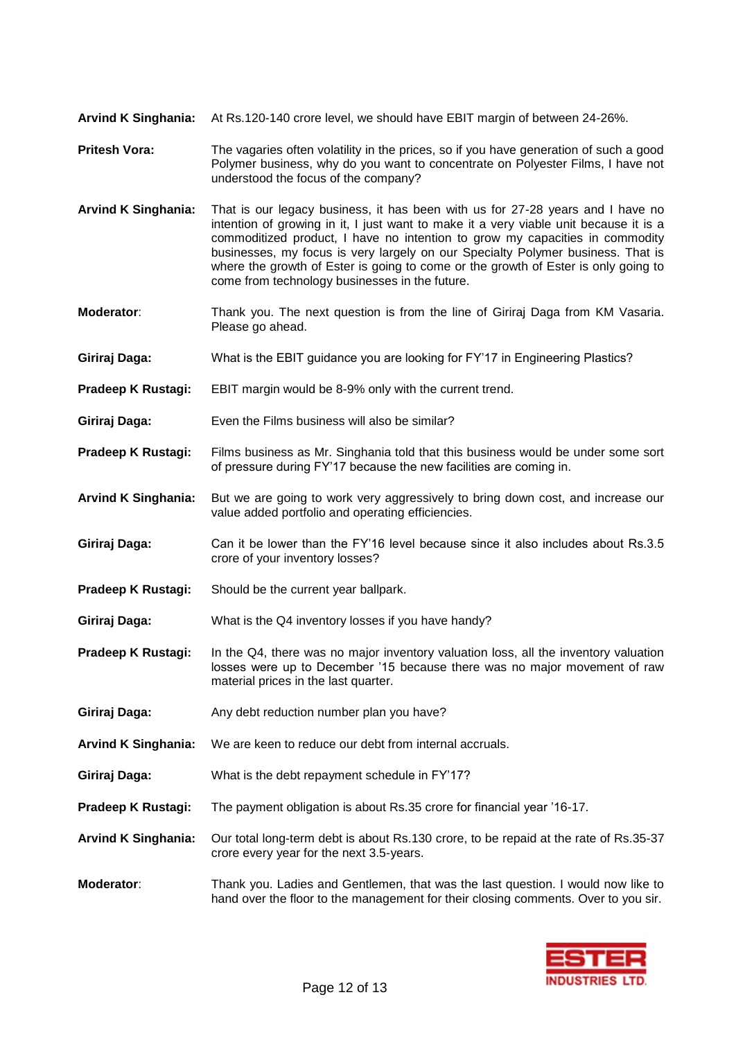- **Arvind K Singhania:** At Rs.120-140 crore level, we should have EBIT margin of between 24-26%.
- **Pritesh Vora:** The vagaries often volatility in the prices, so if you have generation of such a good Polymer business, why do you want to concentrate on Polyester Films, I have not understood the focus of the company?
- **Arvind K Singhania:** That is our legacy business, it has been with us for 27-28 years and I have no intention of growing in it, I just want to make it a very viable unit because it is a commoditized product, I have no intention to grow my capacities in commodity businesses, my focus is very largely on our Specialty Polymer business. That is where the growth of Ester is going to come or the growth of Ester is only going to come from technology businesses in the future.
- **Moderator:** Thank you. The next question is from the line of Giriraj Daga from KM Vasaria. Please go ahead.
- **Giriraj Daga:** What is the EBIT guidance you are looking for FY'17 in Engineering Plastics?
- **Pradeep K Rustagi:** EBIT margin would be 8-9% only with the current trend.
- **Giriraj Daga:** Even the Films business will also be similar?
- **Pradeep K Rustagi:** Films business as Mr. Singhania told that this business would be under some sort of pressure during FY'17 because the new facilities are coming in.
- **Arvind K Singhania:** But we are going to work very aggressively to bring down cost, and increase our value added portfolio and operating efficiencies.
- **Giriraj Daga:** Can it be lower than the FY'16 level because since it also includes about Rs.3.5 crore of your inventory losses?
- **Pradeep K Rustagi:** Should be the current year ballpark.
- **Giriraj Daga:** What is the Q4 inventory losses if you have handy?
- **Pradeep K Rustagi:** In the Q4, there was no major inventory valuation loss, all the inventory valuation losses were up to December '15 because there was no major movement of raw material prices in the last quarter.
- Giriraj Daga: Any debt reduction number plan you have?
- **Arvind K Singhania:** We are keen to reduce our debt from internal accruals.
- **Giriraj Daga:** What is the debt repayment schedule in FY'17?
- **Pradeep K Rustagi:** The payment obligation is about Rs.35 crore for financial year '16-17.
- **Arvind K Singhania:** Our total long-term debt is about Rs.130 crore, to be repaid at the rate of Rs.35-37 crore every year for the next 3.5-years.
- **Moderator**: Thank you. Ladies and Gentlemen, that was the last question. I would now like to hand over the floor to the management for their closing comments. Over to you sir.